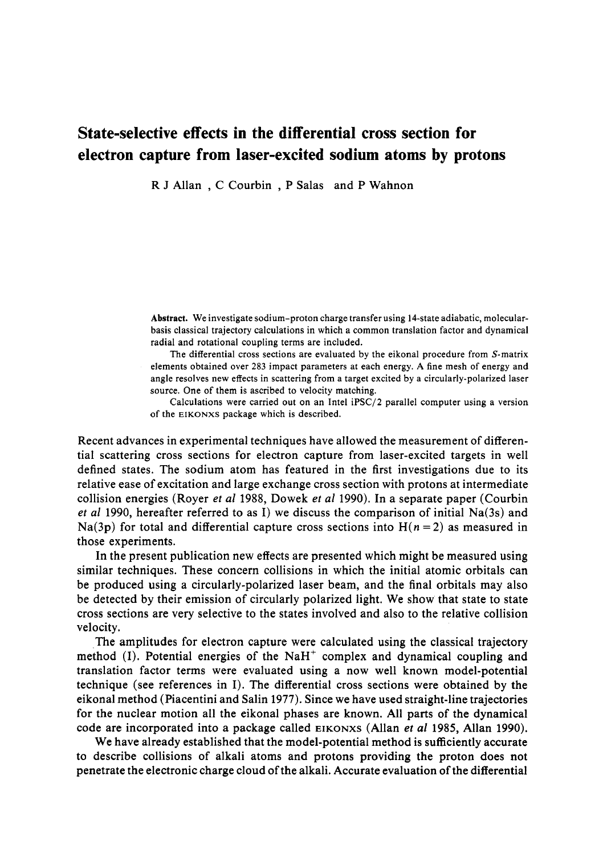## State-selective effects in the differential cross section for electron capture from laser-excited sodium atoms by protons

R J Allan , C Courbin , P Salas and P Wahnon

**Abstract.** We investigate sodium-proton charge transfer using 14-state adiabatic, molecularbasis classical trajectory calculations in which a common translation factor and dynamical radial and rotational coupling terms are included.

The differential cross sections are evaluated by the eikonal procedure from S-matrix elements obtained over 283 impact parameters at each energy. A fine mesh of energy and angle resolves new effects in scattering from a target excited by a circularly-polarized laser source. One of them is ascribed to velocity matching.

Calculations were carried out on an Intel iPSC/2 parallel computer using a version of the EIKONXS package which is described.

Recent advances in experimental techniques have allowed the measurement of differential scattering cross sections for electron capture from laser-excited targets in well defined states. The sodium atom has featured in the first investigations due to its relative ease of excitation and large exchange cross section with protons at intermediate collision energies (Royer *et al* 1988, Dowek *et al* 1990). In a separate paper (Courbin *et al* 1990, hereafter referred to as I) we discuss the comparison of initial Na(3s) and Na(3p) for total and differential capture cross sections into  $H(n=2)$  as measured in those experiments.

In the present publication new effects are presented which might be measured using similar techniques. These concern collisions in which the initial atomic orbitals can be produced using a circularly-polarized laser beam, and the final orbitals may also be detected by their emission of circularly polarized light. We show that state to state cross sections are very selective to the states involved and also to the relative collision velocity.

The amplitudes for electron capture were calculated using the classical trajectory method (I). Potential energies of the NaH<sup>+</sup> complex and dynamical coupling and translation factor terms were evaluated using a now well known model-potential technique (see references in I). The differential cross sections were obtained by the eikonal method (Piacentini and Salin 1977). Since we have used straight-line trajectories for the nuclear motion all the eikonal phases are known. All parts of the dynamical code are incorporated into a package called EIKONXS (Allan *et al* 1985, Allan 1990).

We have already established that the model-potential method is sufficiently accurate to describe collisions of alkali atoms and protons providing the proton does not penetrate the electronic charge cloud of the alkali. Accurate evaluation of the differential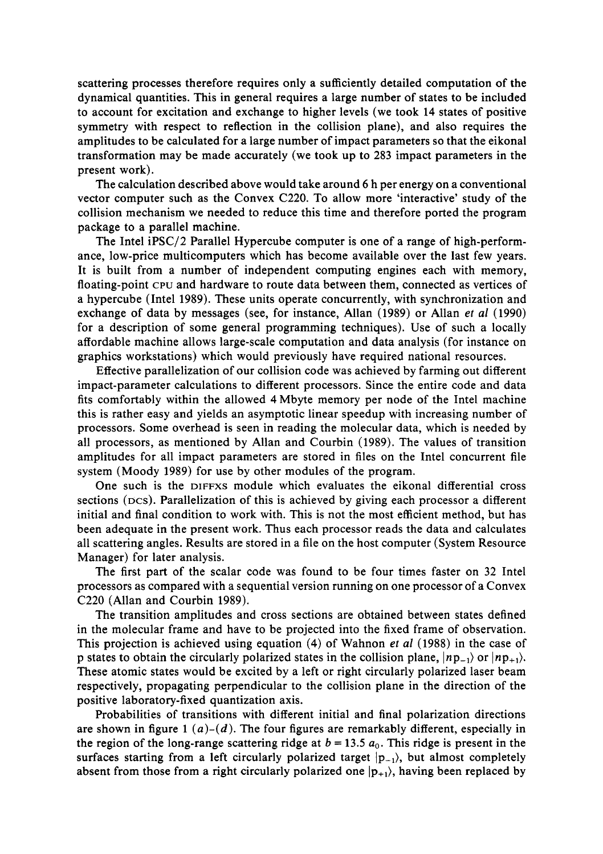scattering processes therefore requires only a sufficiently detailed computation of the dynamical quantities. This in general requires a large number of states to be included to account for excitation and exchange to higher levels (we took 14 states of positive symmetry with respect to reflection in the collision plane), and also requires the amplitudes to be calculated for a large number of impact parameters so that the eikonal transformation may be made accurately (we took up to 283 impact parameters in the present work).

The calculation described above would take around 6 h per energy on a conventional vector computer such as the Convex C220. To allow more 'interactive' study of the collision mechanism we needed to reduce this time and therefore ported the program package to a parallel machine.

The Intel iPSC/2 Parallel Hypercube computer is one of a range of high-performance, low-price multicomputers which has become available over the last few years. It is built from a number of independent computing engines each with memory, floating-point CPU and hardware to route data between them, connected as vertices of a hypercube (Intel 1989). These units operate concurrently, with synchronization and exchange of data by messages (see, for instance, Allan (1989) or Allan *et al* (1990) for a description of some general programming techniques). Use of such a locally affordable machine allows large-scale computation and data analysis (for instance on graphics workstations) which would previously have required national resources.

Effective parallelization of our collision code was achieved by farming out different impact-parameter calculations to different processors. Since the entire code and data fits comfortably within the allowed 4 Mbyte memory per node of the Intel machine this is rather easy and yields an asymptotic linear speedup with increasing number of processors. Some overhead is seen in reading the molecular data, which is needed by all processors, as mentioned by Allan and Courbin (1989). The values of transition amplitudes for all impact parameters are stored in files on the Intel concurrent file system (Moody 1989) for use by other modules of the program.

One such is the DIFFXS module which evaluates the eikonal differential cross sections (Dcs). Parallelization of this is achieved by giving each processor a different initial and final condition to work with. This is not the most efficient method, but has been adequate in the present work. Thus each processor reads the data and calculates all scattering angles. Results are stored in a file on the host computer (System Resource Manager) for later analysis.

The first part of the scalar code was found to be four times faster on 32 Intel processors as compared with a sequential version running on one processor of a Convex C220 (Allan and Courbin 1989).

The transition amplitudes and cross sections are obtained between states defined in the molecular frame and have to be projected into the fixed frame of observation. This projection is achieved using equation (4) of Wahnon *et al* (1988) in the case of p states to obtain the circularly polarized states in the collision plane,  $|np_{-1}\rangle$  or  $|np_{+1}\rangle$ . These atomic states would be excited by a left or right circularly polarized laser beam respectively, propagating perpendicular to the collision plane in the direction of the positive laboratory-fixed quantization axis.

Probabilities of transitions with different initial and final polarization directions are shown in figure 1  $(a)-(d)$ . The four figures are remarkably different, especially in the region of the long-range scattering ridge at  $b = 13.5 a_0$ . This ridge is present in the surfaces starting from a left circularly polarized target  $|p_{-1}\rangle$ , but almost completely absent from those from a right circularly polarized one  $|p_{+1}\rangle$ , having been replaced by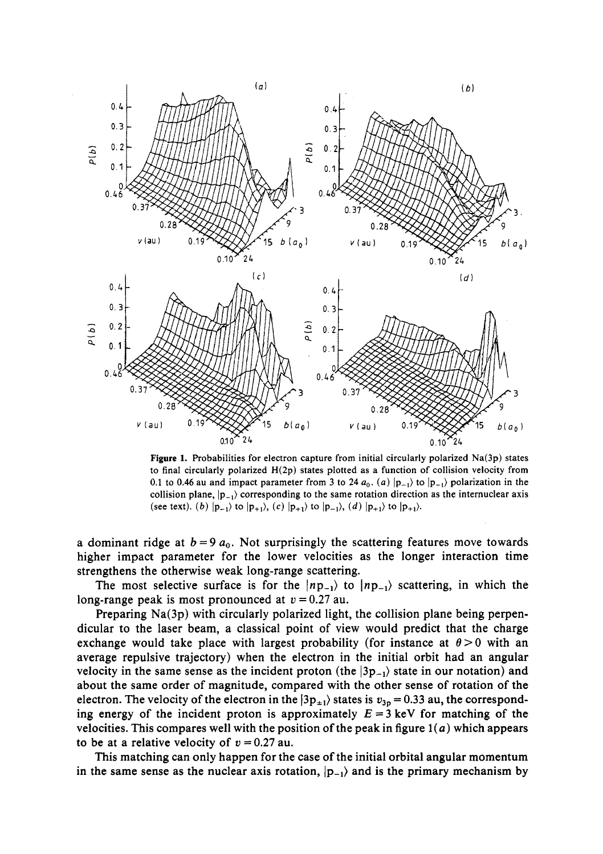

Figure 1. Probabilities for electron capture from initial circularly polarized Na(3p) states to final circularly polarized H(2p) states plotted as a function of collision velocity from 0.1 to 0.46 au and impact parameter from 3 to 24  $a_0$ . (a)  $|p_{-1}\rangle$  to  $|p_{-1}\rangle$  polarization in the collision plane,  $|p_{-1}\rangle$  corresponding to the same rotation direction as the internuclear axis (see text), (b)  $|p_{-1}\rangle$  to  $|p_{+1}\rangle$ , (c)  $|p_{+1}\rangle$  to  $|p_{-1}\rangle$ , (d)  $|p_{+1}\rangle$  to  $|p_{+1}\rangle$ .

a dominant ridge at  $b = 9a_0$ . Not surprisingly the scattering features move towards higher impact parameter for the lower velocities as the longer interaction time strengthens the otherwise weak long-range scattering.

The most selective surface is for the  $|np_{-1}\rangle$  to  $|np_{-1}\rangle$  scattering, in which the long-range peak is most pronounced at  $v = 0.27$  au.

Preparing Na(3p) with circularly polarized light, the collision plane being perpendicular to the laser beam, a classical point of view would predict that the charge exchange would take place with largest probability (for instance at  $\theta > 0$  with an average repulsive trajectory) when the electron in the initial orbit had an angular velocity in the same sense as the incident proton (the  $|3p_{-1}\rangle$  state in our notation) and about the same order of magnitude, compared with the other sense of rotation of the electron. The velocity of the electron in the  $|3p_{\pm 1}\rangle$  states is  $v_{3p} = 0.33$  au, the corresponding energy of the incident proton is approximately  $E = 3$  keV for matching of the velocities. This compares well with the position of the peak in figure  $1(a)$  which appears to be at a relative velocity of  $v = 0.27$  au.

This matching can only happen for the case of the initial orbital angular momentum in the same sense as the nuclear axis rotation,  $|p_{-1}\rangle$  and is the primary mechanism by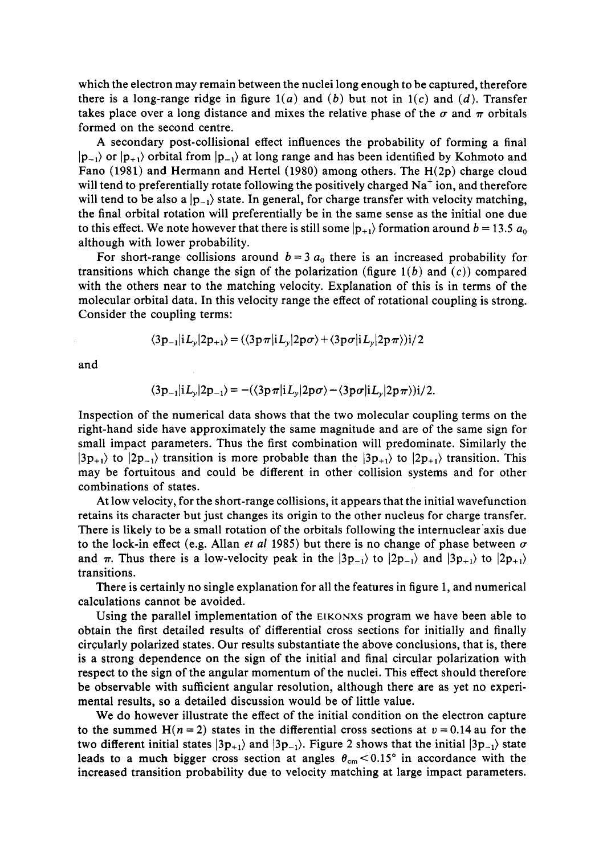which the electron may remain between the nuclei long enough to be captured, therefore there is a long-range ridge in figure  $1(a)$  and  $(b)$  but not in  $1(c)$  and  $(d)$ . Transfer takes place over a long distance and mixes the relative phase of the  $\sigma$  and  $\pi$  orbitals formed on the second centre.

A secondary post-collisional effect influences the probability of forming a final  $|p_{-1}\rangle$  or  $|p_{+1}\rangle$  orbital from  $|p_{-1}\rangle$  at long range and has been identified by Kohmoto and Fano (1981) and Hermann and Hertel (1980) among others. The H(2p) charge cloud will tend to preferentially rotate following the positively charged Na<sup>+</sup> ion, and therefore will tend to be also a  $|p_{-1}\rangle$  state. In general, for charge transfer with velocity matching, the final orbital rotation will preferentially be in the same sense as the initial one due to this effect. We note however that there is still some  $|p_{+1}\rangle$  formation around  $b = 13.5 a_0$ although with lower probability.

For short-range collisions around  $b = 3 a_0$  there is an increased probability for transitions which change the sign of the polarization (figure *1(b)* and (c)) compared with the others near to the matching velocity. Explanation of this is in terms of the molecular orbital data. In this velocity range the effect of rotational coupling is strong. Consider the coupling terms:

$$
\langle 3p_{-1}|iL_{y}|2p_{+1}\rangle = (\langle 3p\pi|iL_{y}|2p\sigma\rangle + \langle 3p\sigma|iL_{y}|2p\pi\rangle)i/2
$$

and

$$
\langle 3p_{-1}|iL_y|2p_{-1}\rangle = -(\langle 3p\pi|iL_y|2p\sigma\rangle - \langle 3p\sigma|iL_y|2p\pi\rangle)i/2.
$$

Inspection of the numerical data shows that the two molecular coupling terms on the right-hand side have approximately the same magnitude and are of the same sign for small impact parameters. Thus the first combination will predominate. Similarly the  $|3p_{+1}\rangle$  to  $|2p_{-1}\rangle$  transition is more probable than the  $|3p_{+1}\rangle$  to  $|2p_{+1}\rangle$  transition. This may be fortuitous and could be different in other collision systems and for other combinations of states.

At low velocity, for the short-range collisions, it appears that the initial wavefunction retains its character but just changes its origin to the other nucleus for charge transfer. There is likely to be a small rotation of the orbitals following the internuclear axis due to the lock-in effect (e.g. Allan *et al* 1985) but there is no change of phase between  $\sigma$ and  $\pi$ . Thus there is a low-velocity peak in the  $|3p_{-1}\rangle$  to  $|2p_{-1}\rangle$  and  $|3p_{+1}\rangle$  to  $|2p_{+1}\rangle$ transitions.

There is certainly no single explanation for all the features in figure 1, and numerical calculations cannot be avoided.

Using the parallel implementation of the EIKONXS program we have been able to obtain the first detailed results of differential cross sections for initially and finally circularly polarized states. Our results substantiate the above conclusions, that is, there is a strong dependence on the sign of the initial and final circular polarization with respect to the sign of the angular momentum of the nuclei. This effect should therefore be observable with sufficient angular resolution, although there are as yet no experimental results, so a detailed discussion would be of little value.

We do however illustrate the effect of the initial condition on the electron capture to the summed  $H(n = 2)$  states in the differential cross sections at  $v = 0.14$  au for the two different initial states  $|3p_{+1}\rangle$  and  $|3p_{-1}\rangle$ . Figure 2 shows that the initial  $|3p_{-1}\rangle$  state leads to a much bigger cross section at angles  $\theta_{cm}$  < 0.15° in accordance with the increased transition probability due to velocity matching at large impact parameters.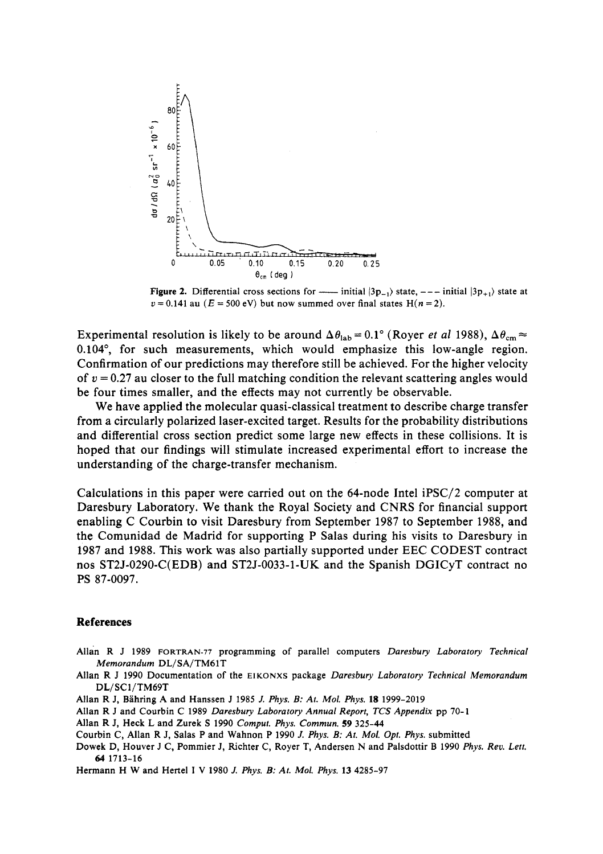

Figure 2. Differential cross sections for  $-\text{initial } |3p_{-1}\rangle$  state,  $---$  initial  $|3p_{+1}\rangle$  state at  $v = 0.141$  au ( $E = 500$  eV) but now summed over final states H( $n = 2$ ).

Experimental resolution is likely to be around  $\Delta\theta_{lab} = 0.1^{\circ}$  (Royer *et al* 1988),  $\Delta\theta_{cm} \approx$ 0.104°, for such measurements, which would emphasize this low-angle region. Confirmation of our predictions may therefore still be achieved. For the higher velocity of *v =* 0.27 au closer to the full matching condition the relevant scattering angles would be four times smaller, and the effects may not currently be observable.

We have applied the molecular quasi-classical treatment to describe charge transfer from a circularly polarized laser-excited target. Results for the probability distributions and differential cross section predict some large new effects in these collisions. It is hoped that our findings will stimulate increased experimental effort to increase the understanding of the charge-transfer mechanism.

Calculations in this paper were carried out on the 64-node Intel iPSC/2 computer at Daresbury Laboratory. We thank the Royal Society and CNRS for financial support enabling C Courbin to visit Daresbury from September 1987 to September 1988, and the Comunidad de Madrid for supporting P Salas during his visits to Daresbury in 1987 and 1988. This work was also partially supported under EEC CODEST contract nos ST2J-0290-C(EDB) and ST2J-0033-1-UK and the Spanish DGICyT contract no PS 87-0097.

## **References**

- Allan R J 1989 FORTRAN-77 programming of parallel computers *Daresbury Laboratory Technical Memorandum* DL/SA/TM61T
- Allan R J 1990 Documentation of the EIKONXS package *Daresbury Laboratory Technical Memorandum*  DL/SC1/TM69T
- Allan R J, Bahring A and Hanssen J 1985 *J. Phys. B: At. Mol. Phys.* 18 1999-2019
- Allan R J and Courbin C 1989 *Daresbury Laboratory Annual Report, TCS Appendix* pp 70-1
- Allan R J, Heck L and Zurek S 1990 *Comput. Phys. Commun.* 59 325-44
- Courbin C, Allan R J, Salas P and Wahnon P 1990 *J. Phys. B: At. Mol. Opt. Phys.* submitted
- Dowek D, Houver J C, Pommier J, Richter C, Royer T, Andersen N and Palsdottir B 1990 *Phys. Rev. Lett.*  64 1713-16
- Hermann H W and Hertel I V 1980 *J. Phys. B: At. Mol. Phys.* 13 4285-97